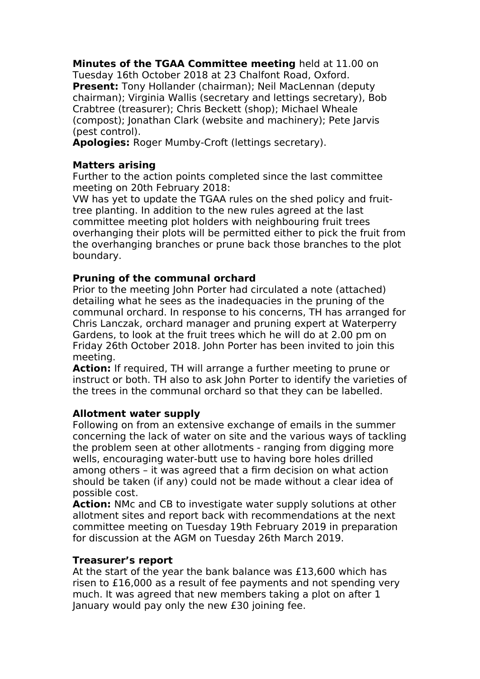**Minutes of the TGAA Committee meeting** held at 11.00 on Tuesday 16th October 2018 at 23 Chalfont Road, Oxford. **Present:** Tony Hollander (chairman); Neil MacLennan (deputy chairman); Virginia Wallis (secretary and lettings secretary), Bob Crabtree (treasurer); Chris Beckett (shop); Michael Wheale (compost); Jonathan Clark (website and machinery); Pete Jarvis (pest control).

**Apologies:** Roger Mumby-Croft (lettings secretary).

# **Matters arising**

Further to the action points completed since the last committee meeting on 20th February 2018:

VW has yet to update the TGAA rules on the shed policy and fruittree planting. In addition to the new rules agreed at the last committee meeting plot holders with neighbouring fruit trees overhanging their plots will be permitted either to pick the fruit from the overhanging branches or prune back those branches to the plot boundary.

# **Pruning of the communal orchard**

Prior to the meeting John Porter had circulated a note (attached) detailing what he sees as the inadequacies in the pruning of the communal orchard. In response to his concerns, TH has arranged for Chris Lanczak, orchard manager and pruning expert at Waterperry Gardens, to look at the fruit trees which he will do at 2.00 pm on Friday 26th October 2018. John Porter has been invited to join this meeting.

**Action:** If required, TH will arrange a further meeting to prune or instruct or both. TH also to ask John Porter to identify the varieties of the trees in the communal orchard so that they can be labelled.

# **Allotment water supply**

Following on from an extensive exchange of emails in the summer concerning the lack of water on site and the various ways of tackling the problem seen at other allotments - ranging from digging more wells, encouraging water-butt use to having bore holes drilled among others – it was agreed that a firm decision on what action should be taken (if any) could not be made without a clear idea of possible cost.

**Action:** NMc and CB to investigate water supply solutions at other allotment sites and report back with recommendations at the next committee meeting on Tuesday 19th February 2019 in preparation for discussion at the AGM on Tuesday 26th March 2019.

# **Treasurer's report**

At the start of the year the bank balance was £13,600 which has risen to £16,000 as a result of fee payments and not spending very much. It was agreed that new members taking a plot on after 1 January would pay only the new £30 joining fee.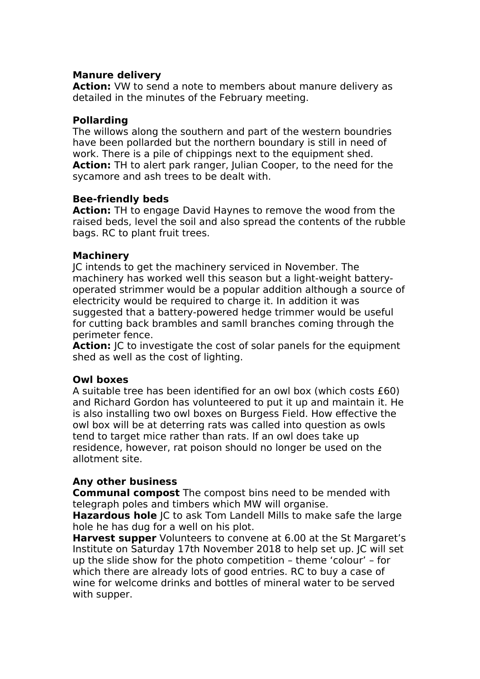#### **Manure delivery**

**Action:** VW to send a note to members about manure delivery as detailed in the minutes of the February meeting.

#### **Pollarding**

The willows along the southern and part of the western boundries have been pollarded but the northern boundary is still in need of work. There is a pile of chippings next to the equipment shed. **Action:** TH to alert park ranger, Julian Cooper, to the need for the sycamore and ash trees to be dealt with.

#### **Bee-friendly beds**

**Action:** TH to engage David Haynes to remove the wood from the raised beds, level the soil and also spread the contents of the rubble bags. RC to plant fruit trees.

#### **Machinery**

JC intends to get the machinery serviced in November. The machinery has worked well this season but a light-weight batteryoperated strimmer would be a popular addition although a source of electricity would be required to charge it. In addition it was suggested that a battery-powered hedge trimmer would be useful for cutting back brambles and samll branches coming through the perimeter fence.

**Action:** JC to investigate the cost of solar panels for the equipment shed as well as the cost of lighting.

# **Owl boxes**

A suitable tree has been identified for an owl box (which costs £60) and Richard Gordon has volunteered to put it up and maintain it. He is also installing two owl boxes on Burgess Field. How effective the owl box will be at deterring rats was called into question as owls tend to target mice rather than rats. If an owl does take up residence, however, rat poison should no longer be used on the allotment site.

# **Any other business**

**Communal compost** The compost bins need to be mended with telegraph poles and timbers which MW will organise.

**Hazardous hole** JC to ask Tom Landell Mills to make safe the large hole he has dug for a well on his plot.

**Harvest supper** Volunteers to convene at 6.00 at the St Margaret's Institute on Saturday 17th November 2018 to help set up. JC will set up the slide show for the photo competition – theme 'colour' – for which there are already lots of good entries. RC to buy a case of wine for welcome drinks and bottles of mineral water to be served with supper.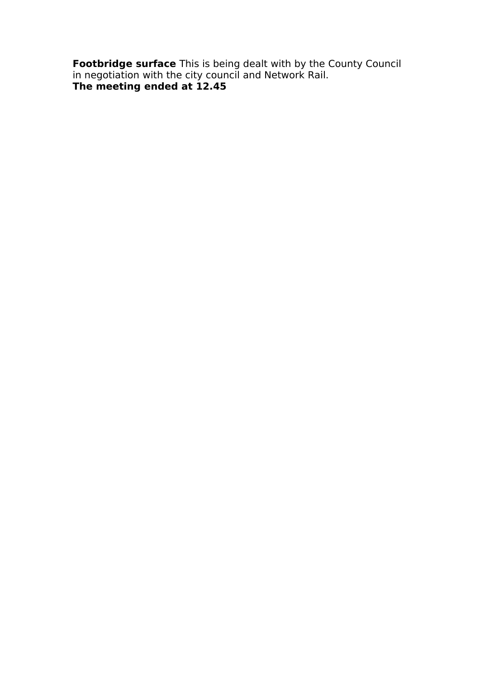**Footbridge surface** This is being dealt with by the County Council in negotiation with the city council and Network Rail. **The meeting ended at 12.45**